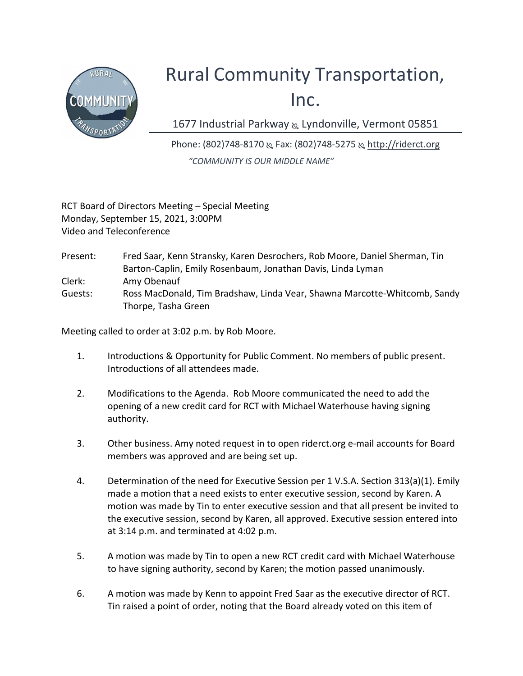

## Rural Community Transportation, Inc.

1677 Industrial Parkway & Lyndonville, Vermont 05851

Phone: (802)748-8170 & Fax: (802)748-5275 & http://riderct.org "COMMUNITY IS OUR MIDDLE NAME"

RCT Board of Directors Meeting – Special Meeting Monday, September 15, 2021, 3:00PM Video and Teleconference

Present: Fred Saar, Kenn Stransky, Karen Desrochers, Rob Moore, Daniel Sherman, Tin Barton-Caplin, Emily Rosenbaum, Jonathan Davis, Linda Lyman Clerk: Amy Obenauf Guests: Ross MacDonald, Tim Bradshaw, Linda Vear, Shawna Marcotte-Whitcomb, Sandy Thorpe, Tasha Green

Meeting called to order at 3:02 p.m. by Rob Moore.

- 1. Introductions & Opportunity for Public Comment. No members of public present. Introductions of all attendees made.
- 2. Modifications to the Agenda. Rob Moore communicated the need to add the opening of a new credit card for RCT with Michael Waterhouse having signing authority.
- 3. Other business. Amy noted request in to open riderct.org e-mail accounts for Board members was approved and are being set up.
- 4. Determination of the need for Executive Session per 1 V.S.A. Section 313(a)(1). Emily made a motion that a need exists to enter executive session, second by Karen. A motion was made by Tin to enter executive session and that all present be invited to the executive session, second by Karen, all approved. Executive session entered into at 3:14 p.m. and terminated at 4:02 p.m.
- 5. A motion was made by Tin to open a new RCT credit card with Michael Waterhouse to have signing authority, second by Karen; the motion passed unanimously.
- 6. A motion was made by Kenn to appoint Fred Saar as the executive director of RCT. Tin raised a point of order, noting that the Board already voted on this item of